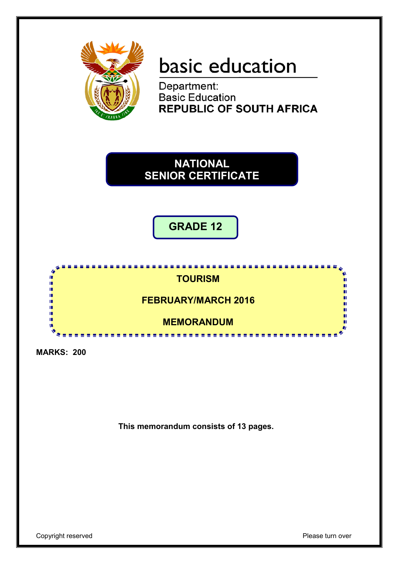

# basic education

Department: **Basic Education REPUBLIC OF SOUTH AFRICA** 

**NATIONAL SENIOR CERTIFICATE**

**GRADE 12**



**MARKS: 200**

**This memorandum consists of 13 pages.**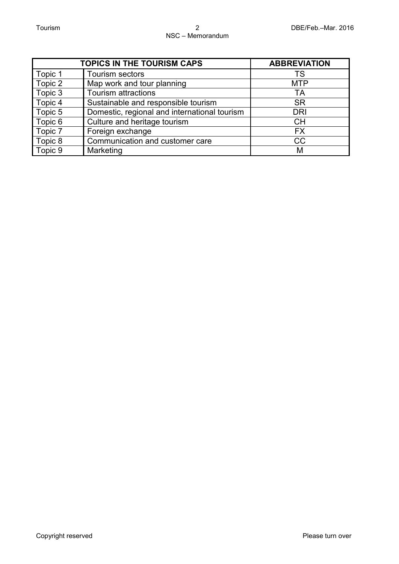|         | <b>TOPICS IN THE TOURISM CAPS</b>            | <b>ABBREVIATION</b> |
|---------|----------------------------------------------|---------------------|
| Topic 1 | Tourism sectors                              | TS                  |
| Topic 2 | Map work and tour planning                   | <b>MTP</b>          |
| Topic 3 | Tourism attractions                          | TA                  |
| Topic 4 | Sustainable and responsible tourism          | <b>SR</b>           |
| Topic 5 | Domestic, regional and international tourism | <b>DRI</b>          |
| Topic 6 | Culture and heritage tourism                 | <b>CH</b>           |
| Topic 7 | Foreign exchange                             | <b>FX</b>           |
| Topic 8 | Communication and customer care              | CC                  |
| Topic 9 | Marketing                                    | M                   |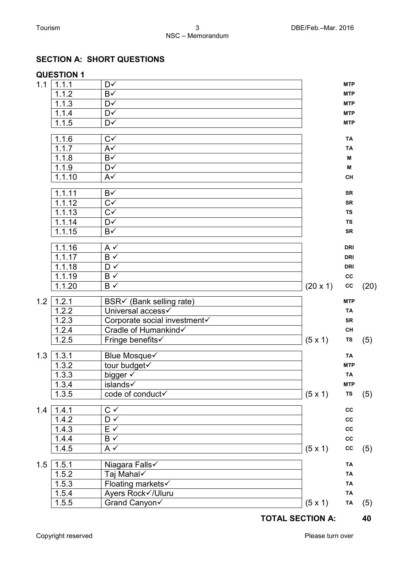|     | <b>QUESTION 1</b> |                                      |          |                         |      |
|-----|-------------------|--------------------------------------|----------|-------------------------|------|
| 1.1 | 1.1.1             | D√                                   |          | <b>MTP</b>              |      |
|     | 1.1.2             | B√                                   |          | <b>MTP</b>              |      |
|     | 1.1.3             | D√                                   |          | <b>MTP</b>              |      |
|     | 1.1.4             | D√                                   |          | <b>MTP</b>              |      |
|     | 1.1.5             | D√                                   |          | <b>MTP</b>              |      |
|     | 1.1.6             | $C\checkmark$                        |          | TA                      |      |
|     | 1.1.7             | $A\checkmark$                        |          | <b>TA</b>               |      |
|     | 1.1.8             | B√                                   |          | M                       |      |
|     | 1.1.9             | D√                                   |          | M                       |      |
|     | 1.1.10            | $A\checkmark$                        |          | CH                      |      |
|     | 1.1.11            | B√                                   |          | <b>SR</b>               |      |
|     | 1.1.12            | $\overline{C}$                       |          | <b>SR</b>               |      |
|     | 1.1.13            | $\overline{C}$                       |          | <b>TS</b>               |      |
|     | 1.1.14            | $\overline{\mathsf{D}^{\checkmark}}$ |          | <b>TS</b>               |      |
|     | 1.1.15            | B√                                   |          | SR                      |      |
|     | 1.1.16            | $A \checkmark$                       |          | <b>DRI</b>              |      |
|     | 1.1.17            | $\overline{B\vee}$                   |          | <b>DRI</b>              |      |
|     | 1.1.18            | $D \checkmark$                       |          | <b>DRI</b>              |      |
|     | 1.1.19            | B√                                   |          | cc                      |      |
|     | 1.1.20            | B√                                   | (20 x 1) | cc                      | (20) |
| 1.2 | 1.2.1             | BSR√ (Bank selling rate)             |          | <b>MTP</b>              |      |
|     | 1.2.2             | Universal access                     |          | <b>TA</b>               |      |
|     | 1.2.3             | Corporate social investment          |          | <b>SR</b>               |      |
|     | 1.2.4             | Cradle of Humankind√                 |          | CH                      |      |
|     | 1.2.5             | Fringe benefits√                     | (5x1)    | TS                      | (5)  |
|     |                   |                                      |          |                         |      |
| 1.3 | 1.3.1             | Blue Mosque√                         |          | <b>TA</b><br><b>MTP</b> |      |
|     | 1.3.2             | tour budget                          |          |                         |      |
|     | 1.3.3             | bigger v<br>islands√                 |          | <b>TA</b><br><b>MTP</b> |      |
|     | 1.3.4<br>1.3.5    | code of conduct√                     |          | TS                      |      |
|     |                   |                                      | (5x1)    |                         | (5)  |
| 1.4 | 1.4.1             | $\mathrm{C}\;\checkmark$             |          | $_{\rm CC}$             |      |
|     | 1.4.2             | $\mathsf{D} \checkmark$              |          | cc                      |      |
|     | 1.4.3             | $E \vee$                             |          | $_{\rm CC}$             |      |
|     | 1.4.4             | $B \checkmark$                       |          | $_{\rm CC}$             |      |
|     | 1.4.5             | $A \checkmark$                       | (5x1)    | cc                      | (5)  |
| 1.5 | 1.5.1             | Niagara Falls√                       |          | <b>TA</b>               |      |
|     | 1.5.2             | Taj Mahal√                           |          | <b>TA</b>               |      |
|     | 1.5.3             | Floating markets                     |          | TA                      |      |
|     | 1.5.4             | Ayers Rock√/Uluru                    |          | TA                      |      |
|     | 1.5.5             | Grand Canyon√                        | (5x1)    | TA                      | (5)  |

### **SECTION A: SHORT QUESTIONS**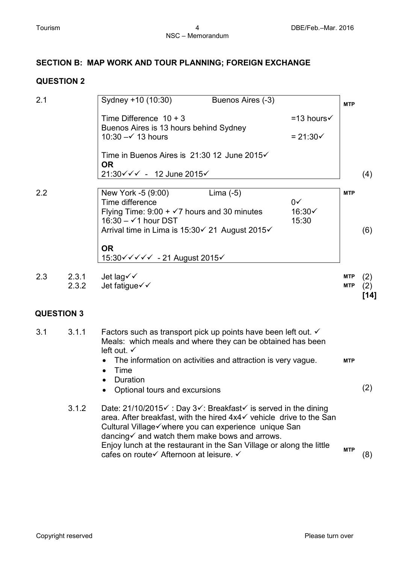### **SECTION B: MAP WORK AND TOUR PLANNING; FOREIGN EXCHANGE**

#### **QUESTION 2**

| 2.1               |                | Sydney +10 (10:30)                                                                                                                                                                                                                             | Buenos Aires (-3) |                                                  | <b>MTP</b>               |                    |
|-------------------|----------------|------------------------------------------------------------------------------------------------------------------------------------------------------------------------------------------------------------------------------------------------|-------------------|--------------------------------------------------|--------------------------|--------------------|
|                   |                | Time Difference $10 + 3$<br>Buenos Aires is 13 hours behind Sydney<br>10:30 $-\check{ }$ 13 hours                                                                                                                                              |                   | $=13$ hours $\checkmark$<br>$= 21:30 \checkmark$ |                          |                    |
|                   |                | Time in Buenos Aires is 21:30 12 June 2015√<br><b>OR</b><br>21:30√√√ - 12 June 2015√                                                                                                                                                           |                   |                                                  |                          | (4)                |
| 2.2               |                | New York -5 (9:00)<br>Time difference<br>Flying Time: $9.00 + \sqrt{7}$ hours and 30 minutes<br>16:30 $ \checkmark$ 1 hour DST<br>Arrival time in Lima is 15:30√ 21 August 2015√                                                               | Lima $(-5)$       | $0\sqrt{ }$<br>16:30√<br>15:30                   | <b>MTP</b>               | (6)                |
|                   |                | <b>OR</b><br>15:30 V V V V V - 21 August 2015 V                                                                                                                                                                                                |                   |                                                  |                          |                    |
| 2.3               | 2.3.1<br>2.3.2 | Jet lag√√<br>Jet fatigue√√                                                                                                                                                                                                                     |                   |                                                  | <b>MTP</b><br><b>MTP</b> | (2)<br>(2)<br>[14] |
| <b>QUESTION 3</b> |                |                                                                                                                                                                                                                                                |                   |                                                  |                          |                    |
| 3.1               | 3.1.1          | Factors such as transport pick up points have been left out. $\checkmark$<br>Meals: which meals and where they can be obtained has been<br>left out. $\checkmark$                                                                              |                   |                                                  |                          |                    |
|                   |                | The information on activities and attraction is very vague.<br>$\bullet$<br>$\bullet$ Time<br>• Duration<br>• Optional tours and excursions                                                                                                    |                   |                                                  | <b>MTP</b>               | (2)                |
|                   | 3.1.2          | Date: 21/10/2015 V: Day 3√: Breakfast v is served in the dining<br>area. After breakfast, with the hired 4x4√ vehicle drive to the San<br>Cultural Village√where you can experience unique San<br>dancing ind watch them make bows and arrows. |                   |                                                  |                          |                    |

Enjoy lunch at the restaurant in the San Village or along the little cafes on route Afternoon at leisure. **MTP** (8)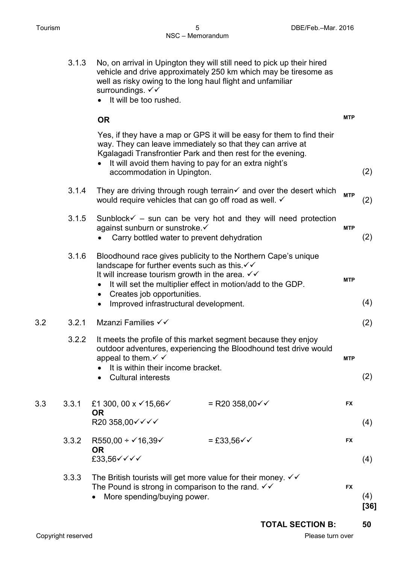|     | 3.1.3 | No, on arrival in Upington they will still need to pick up their hired<br>vehicle and drive approximately 250 km which may be tiresome as<br>well as risky owing to the long haul flight and unfamiliar<br>surroundings. √√<br>It will be too rushed.<br>$\bullet$                                                                                           |                           |            |     |
|-----|-------|--------------------------------------------------------------------------------------------------------------------------------------------------------------------------------------------------------------------------------------------------------------------------------------------------------------------------------------------------------------|---------------------------|------------|-----|
|     |       | <b>OR</b>                                                                                                                                                                                                                                                                                                                                                    |                           | <b>MTP</b> |     |
|     |       | Yes, if they have a map or GPS it will be easy for them to find their<br>way. They can leave immediately so that they can arrive at<br>Kgalagadi Transfrontier Park and then rest for the evening.<br>It will avoid them having to pay for an extra night's<br>accommodation in Upington.                                                                    |                           |            | (2) |
|     | 3.1.4 | They are driving through rough terrain $\checkmark$ and over the desert which<br>would require vehicles that can go off road as well. √                                                                                                                                                                                                                      |                           | <b>MTP</b> | (2) |
|     | 3.1.5 | Sunblock $\checkmark$ – sun can be very hot and they will need protection<br>against sunburn or sunstroke. ✓<br>Carry bottled water to prevent dehydration                                                                                                                                                                                                   |                           | <b>MTP</b> | (2) |
|     | 3.1.6 | Bloodhound race gives publicity to the Northern Cape's unique<br>landscape for further events such as this. $\checkmark\checkmark$<br>It will increase tourism growth in the area. $\checkmark\checkmark$<br>It will set the multiplier effect in motion/add to the GDP.<br>Creates job opportunities.<br>$\bullet$<br>Improved infrastructural development. |                           | <b>MTP</b> | (4) |
| 3.2 | 3.2.1 | Mzanzi Families √√                                                                                                                                                                                                                                                                                                                                           |                           |            | (2) |
|     | 3.2.2 | It meets the profile of this market segment because they enjoy<br>outdoor adventures, experiencing the Bloodhound test drive would<br>appeal to them $\checkmark$ $\checkmark$<br>It is within their income bracket.<br><b>Cultural interests</b>                                                                                                            |                           | <b>MTP</b> | (2) |
| 3.3 | 3.3.1 | £1 300, 00 x $\checkmark$ 15,66 $\checkmark$<br><b>OR</b><br>R20 358,00√ V V V                                                                                                                                                                                                                                                                               | = R20 358,00 $\checkmark$ | <b>FX</b>  | (4) |
|     | 3.3.2 | R550,00 + $\checkmark$ 16,39 $\checkmark$<br><b>OR</b><br>£33,56V V V V                                                                                                                                                                                                                                                                                      | $= £33,56 \checkmark$     | <b>FX</b>  | (4) |
|     | 3.3.3 | The British tourists will get more value for their money. $\checkmark\checkmark$<br>The Pound is strong in comparison to the rand. $\checkmark\checkmark$<br>More spending/buying power.                                                                                                                                                                     |                           | <b>FX</b>  | (4) |

**[36]**

**TOTAL SECTION B: 50**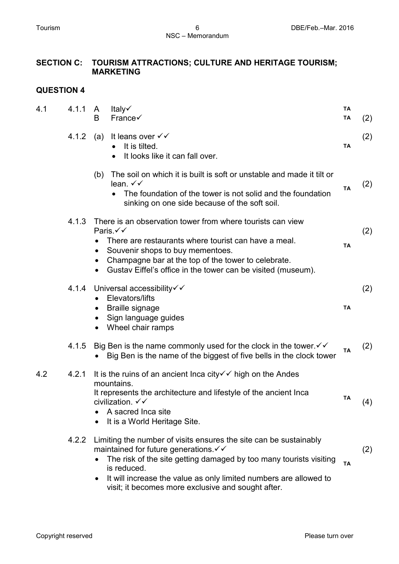## **SECTION C: TOURISM ATTRACTIONS; CULTURE AND HERITAGE TOURISM; MARKETING**

| 4.1 | 4.1.1 | A<br>B    | Italy√<br>France√                                                                                                                                                                                                                                                                                                                             | <b>TA</b><br>TA | (2) |
|-----|-------|-----------|-----------------------------------------------------------------------------------------------------------------------------------------------------------------------------------------------------------------------------------------------------------------------------------------------------------------------------------------------|-----------------|-----|
|     | 4.1.2 | (a)       | It leans over $\checkmark\checkmark$<br>It is tilted.<br>It looks like it can fall over.                                                                                                                                                                                                                                                      | <b>TA</b>       | (2) |
|     |       | (b)       | The soil on which it is built is soft or unstable and made it tilt or<br>lean. $\checkmark\checkmark$<br>The foundation of the tower is not solid and the foundation<br>$\bullet$<br>sinking on one side because of the soft soil.                                                                                                            | <b>TA</b>       | (2) |
|     | 4.1.3 | $\bullet$ | There is an observation tower from where tourists can view<br>Paris.√√<br>There are restaurants where tourist can have a meal.<br>Souvenir shops to buy mementoes.<br>Champagne bar at the top of the tower to celebrate.<br>Gustav Eiffel's office in the tower can be visited (museum).                                                     | <b>TA</b>       | (2) |
|     | 4.1.4 | $\bullet$ | Universal accessibility√√<br>Elevators/lifts<br><b>Braille signage</b><br>Sign language guides<br>Wheel chair ramps                                                                                                                                                                                                                           | <b>TA</b>       | (2) |
|     | 4.1.5 |           | Big Ben is the name commonly used for the clock in the tower $\checkmark\checkmark$<br>Big Ben is the name of the biggest of five bells in the clock tower                                                                                                                                                                                    | <b>TA</b>       | (2) |
| 4.2 | 4.2.1 |           | It is the ruins of an ancient lnca city $\checkmark\checkmark$ high on the Andes<br>mountains.<br>It represents the architecture and lifestyle of the ancient Inca<br>civilization. $\checkmark\checkmark$<br>A sacred Inca site<br>It is a World Heritage Site.                                                                              | TA              | (4) |
|     | 4.2.2 |           | Limiting the number of visits ensures the site can be sustainably<br>maintained for future generations $\checkmark\checkmark$<br>The risk of the site getting damaged by too many tourists visiting<br>is reduced.<br>It will increase the value as only limited numbers are allowed to<br>visit; it becomes more exclusive and sought after. | <b>TA</b>       | (2) |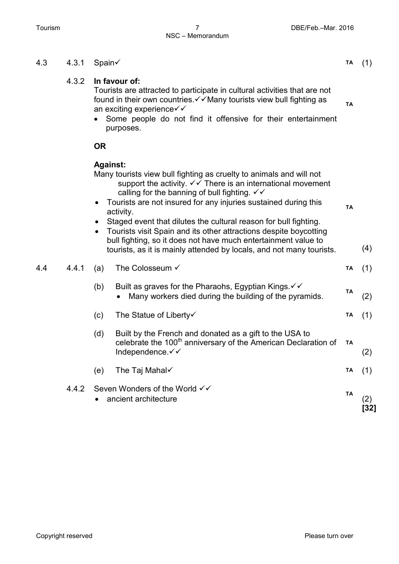# NSC – Memorandum

#### 4.3 4.3.1 Spain **TA** (1) 4.3.2 **In favour of:** Tourists are attracted to participate in cultural activities that are not found in their own countries.  $\checkmark\checkmark$  Many tourists view bull fighting as an exciting experience  $\checkmark\checkmark$ • Some people do not find it offensive for their entertainment purposes. **TA OR Against:** Many tourists view bull fighting as cruelty to animals and will not support the activity.  $\checkmark\checkmark$  There is an international movement calling for the banning of bull fighting.  $\checkmark\checkmark$ • Tourists are not insured for any injuries sustained during this activity. • Staged event that dilutes the cultural reason for bull fighting. • Tourists visit Spain and its other attractions despite boycotting bull fighting, so it does not have much entertainment value to tourists, as it is mainly attended by locals, and not many tourists. **TA** (4) 4.4 4.4.1 (a) The Colosseum **TA** (1) (b) Built as graves for the Pharaohs, Egyptian Kings.  $\checkmark\checkmark$ • Many workers died during the building of the pyramids. **TA** (2) (c) The Statue of Liberty **TA** (1) (d) Built by the French and donated as a gift to the USA to celebrate the 100<sup>th</sup> anniversary of the American Declaration of Independence.√√ **TA** (2) (e) The Taj Mahal  $\checkmark$  (1) 4.4.2 Seven Wonders of the World  $\checkmark$ • ancient architecture **TA** (2) **[32]**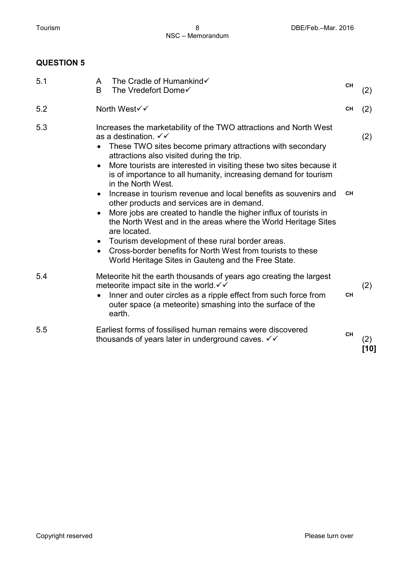| 5.1 | A<br>B       | The Cradle of Humankind√<br>The Vredefort Dome√                                                                                                                                                                                                                                                                                                                                                                                                                                                                                                                                                                                                                                                                                                                                                                                          | <b>CH</b> | (2)           |
|-----|--------------|------------------------------------------------------------------------------------------------------------------------------------------------------------------------------------------------------------------------------------------------------------------------------------------------------------------------------------------------------------------------------------------------------------------------------------------------------------------------------------------------------------------------------------------------------------------------------------------------------------------------------------------------------------------------------------------------------------------------------------------------------------------------------------------------------------------------------------------|-----------|---------------|
| 5.2 | North West√√ |                                                                                                                                                                                                                                                                                                                                                                                                                                                                                                                                                                                                                                                                                                                                                                                                                                          | <b>CH</b> | (2)           |
| 5.3 |              | Increases the marketability of the TWO attractions and North West<br>as a destination. $\checkmark\checkmark$<br>These TWO sites become primary attractions with secondary<br>attractions also visited during the trip.<br>More tourists are interested in visiting these two sites because it<br>is of importance to all humanity, increasing demand for tourism<br>in the North West.<br>Increase in tourism revenue and local benefits as souvenirs and<br>other products and services are in demand.<br>More jobs are created to handle the higher influx of tourists in<br>the North West and in the areas where the World Heritage Sites<br>are located.<br>Tourism development of these rural border areas.<br>Cross-border benefits for North West from tourists to these<br>World Heritage Sites in Gauteng and the Free State. | <b>CH</b> | (2)           |
| 5.4 | earth.       | Meteorite hit the earth thousands of years ago creating the largest<br>meteorite impact site in the world $\checkmark$<br>Inner and outer circles as a ripple effect from such force from<br>outer space (a meteorite) smashing into the surface of the                                                                                                                                                                                                                                                                                                                                                                                                                                                                                                                                                                                  | <b>CH</b> | (2)           |
| 5.5 |              | Earliest forms of fossilised human remains were discovered<br>thousands of years later in underground caves. V V                                                                                                                                                                                                                                                                                                                                                                                                                                                                                                                                                                                                                                                                                                                         | <b>CH</b> | (2)<br>$[10]$ |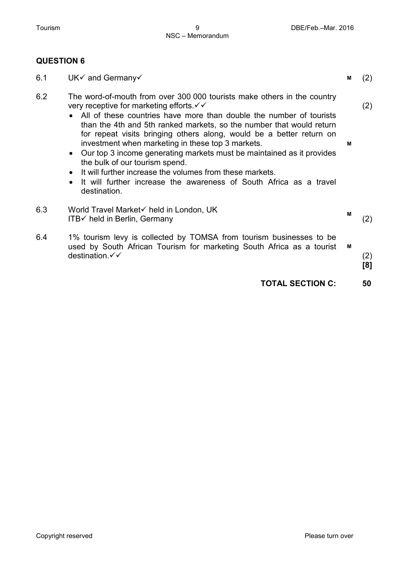| 6.1 | $UK\checkmark$ and Germany $\checkmark$                                                                                                                                                                                                                                                                                                                                                                                                                                                                                                                                                                                                                                                           | м | (2)        |
|-----|---------------------------------------------------------------------------------------------------------------------------------------------------------------------------------------------------------------------------------------------------------------------------------------------------------------------------------------------------------------------------------------------------------------------------------------------------------------------------------------------------------------------------------------------------------------------------------------------------------------------------------------------------------------------------------------------------|---|------------|
| 6.2 | The word-of-mouth from over 300 000 tourists make others in the country<br>very receptive for marketing efforts $\checkmark$<br>• All of these countries have more than double the number of tourists<br>than the 4th and 5th ranked markets, so the number that would return<br>for repeat visits bringing others along, would be a better return on<br>investment when marketing in these top 3 markets.<br>Our top 3 income generating markets must be maintained as it provides<br>$\bullet$<br>the bulk of our tourism spend.<br>It will further increase the volumes from these markets.<br>It will further increase the awareness of South Africa as a travel<br>$\bullet$<br>destination. | м | (2)        |
| 6.3 | World Travel Market√ held in London, UK<br>$ITB\checkmark$ held in Berlin, Germany                                                                                                                                                                                                                                                                                                                                                                                                                                                                                                                                                                                                                | М | (2)        |
| 6.4 | 1% tourism levy is collected by TOMSA from tourism businesses to be<br>used by South African Tourism for marketing South Africa as a tourist<br>destination √√                                                                                                                                                                                                                                                                                                                                                                                                                                                                                                                                    | М | (2)<br>[8] |
|     | <b>TOTAL SECTION C:</b>                                                                                                                                                                                                                                                                                                                                                                                                                                                                                                                                                                                                                                                                           |   | 50         |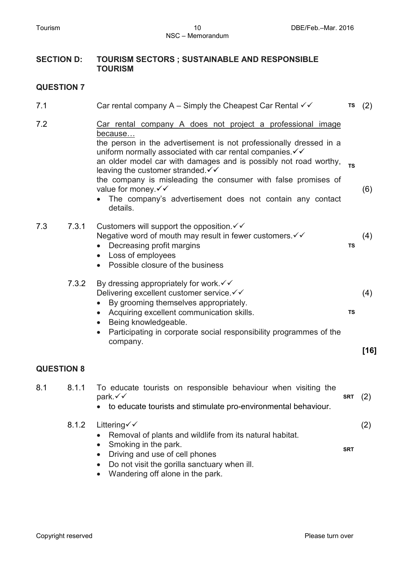#### **SECTION D: TOURISM SECTORS ; SUSTAINABLE AND RESPONSIBLE TOURISM**

| 7.1               |       | Car rental company A – Simply the Cheapest Car Rental $\checkmark$                                                                                                                                                                                                                                                                                                                                                                                                                                                                | <b>TS</b>  | (2)           |
|-------------------|-------|-----------------------------------------------------------------------------------------------------------------------------------------------------------------------------------------------------------------------------------------------------------------------------------------------------------------------------------------------------------------------------------------------------------------------------------------------------------------------------------------------------------------------------------|------------|---------------|
| 7.2               |       | Car rental company A does not project a professional image<br>because<br>the person in the advertisement is not professionally dressed in a<br>uniform normally associated with car rental companies $\checkmark\checkmark$<br>an older model car with damages and is possibly not road worthy,<br>leaving the customer stranded $\checkmark$<br>the company is misleading the consumer with false promises of<br>value for money. $\checkmark\checkmark$<br>The company's advertisement does not contain any contact<br>details. | <b>TS</b>  | (6)           |
| 7.3               | 7.3.1 | Customers will support the opposition $\checkmark$<br>Negative word of mouth may result in fewer customers. V V<br>Decreasing profit margins<br>Loss of employees<br>$\bullet$<br>Possible closure of the business                                                                                                                                                                                                                                                                                                                | TS         | (4)           |
|                   | 7.3.2 | By dressing appropriately for work $\checkmark\checkmark$<br>Delivering excellent customer service. V V<br>By grooming themselves appropriately.<br>$\bullet$<br>Acquiring excellent communication skills.<br>$\bullet$<br>Being knowledgeable.<br>Participating in corporate social responsibility programmes of the<br>company.                                                                                                                                                                                                 | TS         | (4)<br>$[16]$ |
| <b>QUESTION 8</b> |       |                                                                                                                                                                                                                                                                                                                                                                                                                                                                                                                                   |            |               |
| 8.1               | 8.1.1 | To educate tourists on responsible behaviour when visiting the<br>park.√√<br>to educate tourists and stimulate pro-environmental behaviour.                                                                                                                                                                                                                                                                                                                                                                                       | <b>SRT</b> | (2)           |
|                   | 8.1.2 | Littering $\checkmark$<br>Removal of plants and wildlife from its natural habitat.<br>Smoking in the park.<br>Driving and use of cell phones                                                                                                                                                                                                                                                                                                                                                                                      | <b>SRT</b> | (2)           |

- Do not visit the gorilla sanctuary when ill.
- Wandering off alone in the park.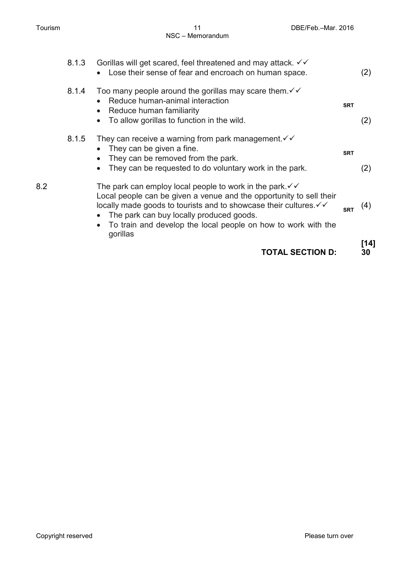|     |       | <b>TOTAL SECTION D:</b>                                                                                                                                                                                                                                                                                                                           |            | [14]<br>30 |
|-----|-------|---------------------------------------------------------------------------------------------------------------------------------------------------------------------------------------------------------------------------------------------------------------------------------------------------------------------------------------------------|------------|------------|
| 8.2 |       | The park can employ local people to work in the park $\checkmark\checkmark$<br>Local people can be given a venue and the opportunity to sell their<br>locally made goods to tourists and to showcase their cultures. V V<br>The park can buy locally produced goods.<br>To train and develop the local people on how to work with the<br>gorillas | <b>SRT</b> | (4)        |
|     | 8.1.5 | They can receive a warning from park management $\checkmark\checkmark$<br>They can be given a fine.<br>They can be removed from the park.<br>They can be requested to do voluntary work in the park.<br>$\bullet$                                                                                                                                 | <b>SRT</b> | (2)        |
|     | 8.1.4 | Too many people around the gorillas may scare them. $\checkmark\checkmark$<br>Reduce human-animal interaction<br>$\bullet$<br>Reduce human familiarity<br>$\bullet$<br>To allow gorillas to function in the wild.                                                                                                                                 | <b>SRT</b> | (2)        |
|     | 8.1.3 | Gorillas will get scared, feel threatened and may attack. $\checkmark\checkmark$<br>Lose their sense of fear and encroach on human space.<br>$\bullet$                                                                                                                                                                                            |            | (2)        |
|     |       |                                                                                                                                                                                                                                                                                                                                                   |            |            |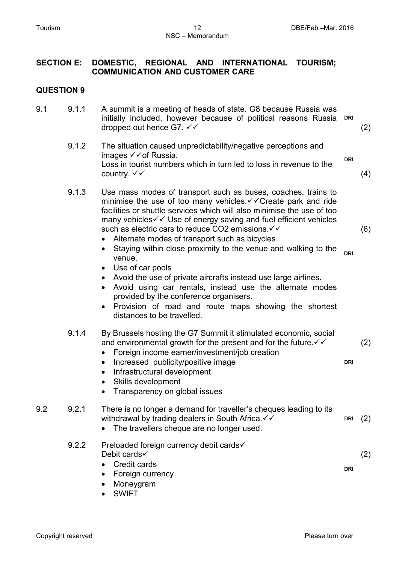#### **SECTION E: DOMESTIC, REGIONAL AND INTERNATIONAL TOURISM; COMMUNICATION AND CUSTOMER CARE**

#### **QUESTION 9**

| 9.1 | 9.1.1 | A summit is a meeting of heads of state. G8 because Russia was<br>initially included, however because of political reasons Russia DRI<br>dropped out hence G7. $\checkmark\checkmark$ |            | (2) |
|-----|-------|---------------------------------------------------------------------------------------------------------------------------------------------------------------------------------------|------------|-----|
|     | 9.1.2 | The situation caused unpredictability/negative perceptions and<br>images $\checkmark$ of Russia.<br>Loss in tourist numbers which in turn led to loss in revenue to the               | <b>DRI</b> |     |

(4)

(6)

**DRI**

(2)

9.1.3 Use mass modes of transport such as buses, coaches, trains to minimise the use of too many vehicles. $\checkmark\checkmark$  Create park and ride facilities or shuttle services which will also minimise the use of too many vehicles  $\checkmark\checkmark$  Use of energy saving and fuel efficient vehicles such as electric cars to reduce CO2 emissions.  $∨ √$ 

- Alternate modes of transport such as bicycles
- Staying within close proximity to the venue and walking to the venue. **DRI**
- Use of car pools

country.  $\checkmark\checkmark$ 

- Avoid the use of private aircrafts instead use large airlines.
- Avoid using car rentals, instead use the alternate modes provided by the conference organisers.
- Provision of road and route maps showing the shortest distances to be travelled.

### 9.1.4 By Brussels hosting the G7 Summit it stimulated economic, social and environmental growth for the present and for the future.  $\checkmark\checkmark$

- Foreign income earner/investment/job creation
- Increased publicity/positive image
- Infrastructural development
- Skills development
- Transparency on global issues

#### 9.2 9.2.1 There is no longer a demand for traveller's cheques leading to its withdrawal by trading dealers in South Africa.  $∨$  **DRI** (2)

• The travellers cheque are no longer used.

#### 9.2.2 Preloaded foreign currency debit cards Debit cards√ • Credit cards **DRI** (2)

- Foreign currency
- Moneygram
- SWIFT